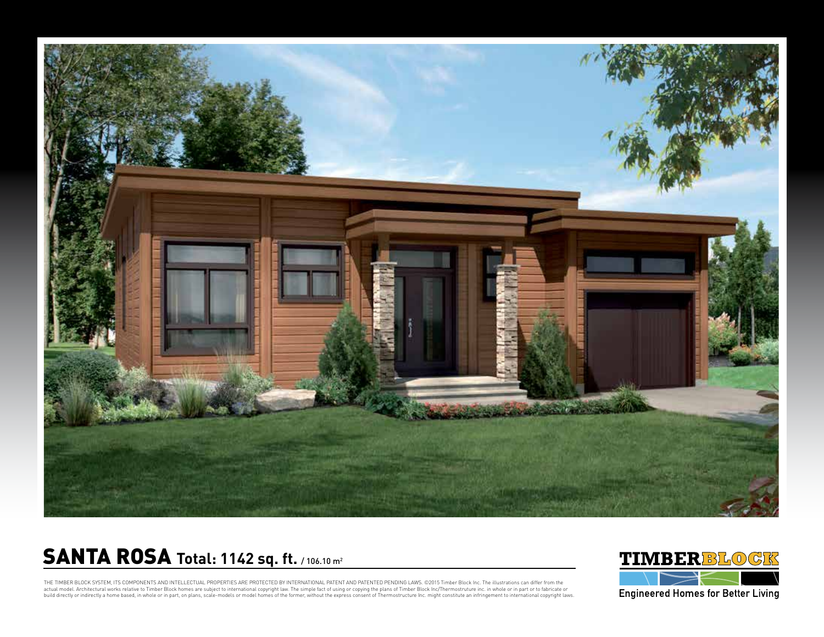

## **SANTA ROSA Total: 1142 sq. ft. / 106.10 m2**



THE TIMBER BLOCK SYSTEM, ITS COMPONENTS AND INTELLECTUAL PROPERTIES ARE PROTECTED BY INTERNATIONAL PATENT AND PATENTED PENDING LAWS. ©2015 Timber Block Inc. The illustrations can differ from the actual model. Architectural works relative to Timber Block homes are subject to international copyright law. The simple fact of using or copying the plans of Timber Block Inc/Thermostruture inc. in whole or in part or to f build directly or indirectly a home based, in whole or in part, on plans, scale-models or model homes of the former, without the express consent of Thermostructure Inc. might constitute an infringement to international cop